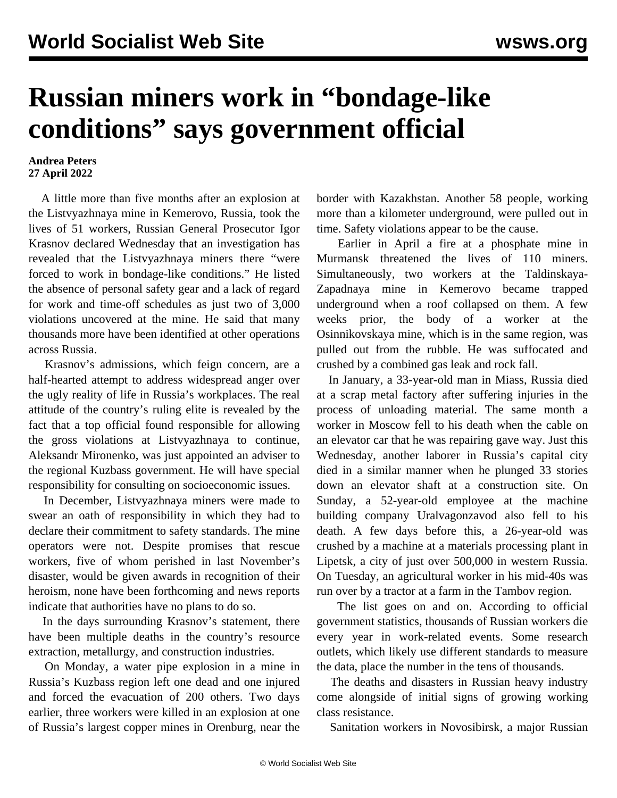## **Russian miners work in "bondage-like conditions" says government official**

## **Andrea Peters 27 April 2022**

 A little more than five months after an explosion at the Listvyazhnaya mine in Kemerovo, Russia, took the lives of 51 workers, Russian General Prosecutor Igor Krasnov declared Wednesday that an investigation has revealed that the Listvyazhnaya miners there "were forced to work in bondage-like conditions." He listed the absence of personal safety gear and a lack of regard for work and time-off schedules as just two of 3,000 violations uncovered at the mine. He said that many thousands more have been identified at other operations across Russia.

 Krasnov's admissions, which feign concern, are a half-hearted attempt to address widespread anger over the ugly reality of life in Russia's workplaces. The real attitude of the country's ruling elite is revealed by the fact that a top official found responsible for allowing the gross violations at Listvyazhnaya to continue, Aleksandr Mironenko, was just appointed an adviser to the regional Kuzbass government. He will have special responsibility for consulting on socioeconomic issues.

 In December, Listvyazhnaya miners were made to swear an oath of responsibility in which they had to declare their commitment to safety standards. The mine operators were not. Despite promises that rescue workers, five of whom perished in last November's disaster, would be given awards in recognition of their heroism, none have been forthcoming and news reports indicate that authorities have no plans to do so.

 In the days surrounding Krasnov's statement, there have been multiple deaths in the country's resource extraction, metallurgy, and construction industries.

 On Monday, a water pipe explosion in a mine in Russia's Kuzbass region left one dead and one injured and forced the evacuation of 200 others. Two days earlier, three workers were killed in an explosion at one of Russia's largest copper mines in Orenburg, near the border with Kazakhstan. Another 58 people, working more than a kilometer underground, were pulled out in time. Safety violations appear to be the cause.

 Earlier in April a fire at a phosphate mine in Murmansk threatened the lives of 110 miners. Simultaneously, two workers at the Taldinskaya-Zapadnaya mine in Kemerovo became trapped underground when a roof collapsed on them. A few weeks prior, the body of a worker at the Osinnikovskaya mine, which is in the same region, was pulled out from the rubble. He was suffocated and crushed by a combined gas leak and rock fall.

 In January, a 33-year-old man in Miass, Russia died at a scrap metal factory after suffering injuries in the process of unloading material. The same month a worker in Moscow fell to his death when the cable on an elevator car that he was repairing gave way. Just this Wednesday, another laborer in Russia's capital city died in a similar manner when he plunged 33 stories down an elevator shaft at a construction site. On Sunday, a 52-year-old employee at the machine building company Uralvagonzavod also fell to his death. A few days before this, a 26-year-old was crushed by a machine at a materials processing plant in Lipetsk, a city of just over 500,000 in western Russia. On Tuesday, an agricultural worker in his mid-40s was run over by a tractor at a farm in the Tambov region.

 The list goes on and on. According to official government statistics, thousands of Russian workers die every year in work-related events. Some research outlets, which likely use different standards to measure the data, place the number in the tens of thousands.

 The deaths and disasters in Russian heavy industry come alongside of initial signs of growing working class resistance.

Sanitation workers in Novosibirsk, a major Russian